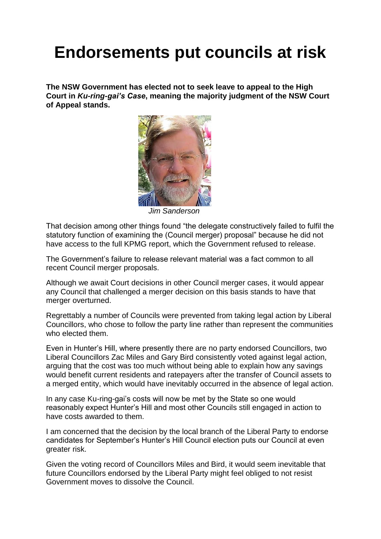## **Endorsements put councils at risk**

**The NSW Government has elected not to seek leave to appeal to the High Court in** *Ku-ring-gai's Case***, meaning the majority judgment of the NSW Court of Appeal stands.**



*Jim Sanderson*

That decision among other things found "the delegate constructively failed to fulfil the statutory function of examining the (Council merger) proposal" because he did not have access to the full KPMG report, which the Government refused to release.

The Government's failure to release relevant material was a fact common to all recent Council merger proposals.

Although we await Court decisions in other Council merger cases, it would appear any Council that challenged a merger decision on this basis stands to have that merger overturned.

Regrettably a number of Councils were prevented from taking legal action by Liberal Councillors, who chose to follow the party line rather than represent the communities who elected them.

Even in Hunter's Hill, where presently there are no party endorsed Councillors, two Liberal Councillors Zac Miles and Gary Bird consistently voted against legal action, arguing that the cost was too much without being able to explain how any savings would benefit current residents and ratepayers after the transfer of Council assets to a merged entity, which would have inevitably occurred in the absence of legal action.

In any case Ku-ring-gai's costs will now be met by the State so one would reasonably expect Hunter's Hill and most other Councils still engaged in action to have costs awarded to them.

I am concerned that the decision by the local branch of the Liberal Party to endorse candidates for September's Hunter's Hill Council election puts our Council at even greater risk.

Given the voting record of Councillors Miles and Bird, it would seem inevitable that future Councillors endorsed by the Liberal Party might feel obliged to not resist Government moves to dissolve the Council.